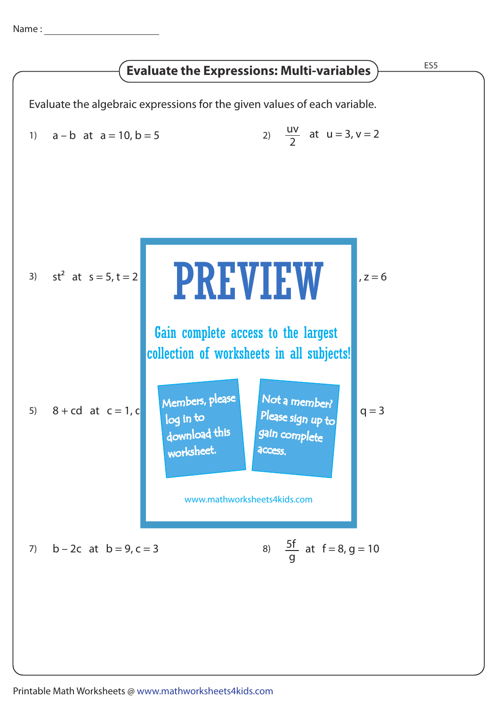